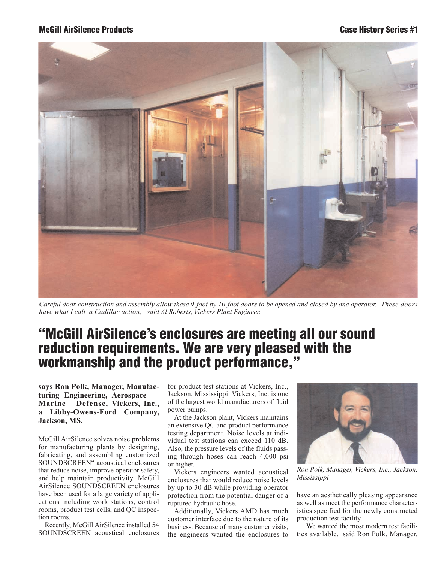## **McGill AirSilence Products Case History Series #1**



*Careful door construction and assembly allow these 9-foot by 10-foot doors to be opened and closed by one operator. These doors have what I call a Cadillac action, said Al Roberts, Vickers Plant Engineer.*

## **"McGill AirSilence's enclosures are meeting all our sound reduction requirements. We are very pleased with the workmanship and the product performance,"**

**says Ron Polk, Manager, Manufacturing Engineering, Aerospace Marine Defense, Vickers, Inc., a Libby-Owens-Ford Company, Jackson, MS.**

McGill AirSilence solves noise problems for manufacturing plants by designing, fabricating, and assembling customized SOUNDSCREEN" acoustical enclosures that reduce noise, improve operator safety, and help maintain productivity. McGill AirSilence SOUNDSCREEN enclosures have been used for a large variety of applications including work stations, control rooms, product test cells, and QC inspection rooms.

Recently, McGill AirSilence installed 54 SOUNDSCREEN acoustical enclosures

for product test stations at Vickers, Inc., Jackson, Mississippi. Vickers, Inc. is one of the largest world manufacturers of fluid power pumps.

At the Jackson plant, Vickers maintains an extensive QC and product performance testing department. Noise levels at individual test stations can exceed 110 dB. Also, the pressure levels of the fluids passing through hoses can reach 4,000 psi or higher.

Vickers engineers wanted acoustical enclosures that would reduce noise levels by up to 30 dB while providing operator protection from the potential danger of a ruptured hydraulic hose.

Additionally, Vickers AMD has much customer interface due to the nature of its business. Because of many customer visits, the engineers wanted the enclosures to



*Ron Polk, Manager, Vickers, Inc., Jackson, Mississippi*

have an aesthetically pleasing appearance as well as meet the performance characteristics specified for the newly constructed production test facility.

We wanted the most modern test facilities available, said Ron Polk, Manager,